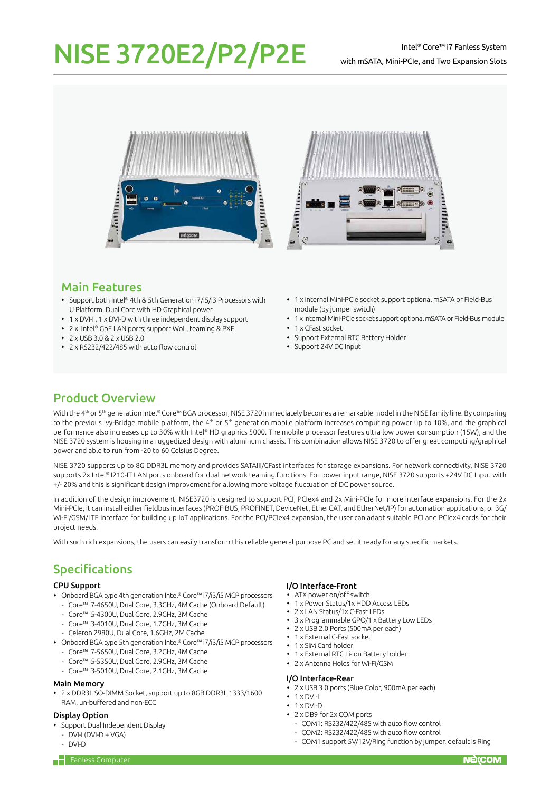# NISE 3720E2/P2/P2E

### Intel® Core™ i7 Fanless System with mSATA, Mini-PCIe, and Two Expansion Slots





# Main Features

- Support both Intel® 4th & 5th Generation i7/i5/i3 Processors with U Platform, Dual Core with HD Graphical power
- 1 x DVI-I , 1 x DVI-D with three independent display support
- 2 x Intel® GbE LAN ports; support WoL, teaming & PXE
- 2 x USB 3.0 & 2 x USB 2.0
- 2 x RS232/422/485 with auto flow control
- 1 x internal Mini-PCIe socket support optional mSATA or Field-Bus module (by jumper switch)
- 1 x internal Mini-PCIe socket support optional mSATA or Field-Bus module
- 1 x CFast socket
- Support External RTC Battery Holder
- Support 24V DC Input

# Product Overview

With the 4<sup>th</sup> or 5<sup>th</sup> generation Intel® Core™ BGA processor, NISE 3720 immediately becomes a remarkable model in the NISE family line. By comparing to the previous Ivy-Bridge mobile platform, the 4<sup>th</sup> or 5<sup>th</sup> generation mobile platform increases computing power up to 10%, and the graphical performance also increases up to 30% with Intel® HD graphics 5000. The mobile processor features ultra low power consumption (15W), and the NISE 3720 system is housing in a ruggedized design with aluminum chassis. This combination allows NISE 3720 to offer great computing/graphical power and able to run from -20 to 60 Celsius Degree.

NISE 3720 supports up to 8G DDR3L memory and provides SATAIII/CFast interfaces for storage expansions. For network connectivity, NISE 3720 supports 2x Intel® I210-IT LAN ports onboard for dual network teaming functions. For power input range, NISE 3720 supports +24V DC Input with +/- 20% and this is significant design improvement for allowing more voltage fluctuation of DC power source.

In addition of the design improvement, NISE3720 is designed to support PCI, PCIex4 and 2x Mini-PCIe for more interface expansions. For the 2x Mini-PCIe, it can install either fieldbus interfaces (PROFIBUS, PROFINET, DeviceNet, EtherCAT, and EtherNet/IP) for automation applications, or 3G/ Wi-Fi/GSM/LTE interface for building up IoT applications. For the PCI/PCIex4 expansion, the user can adapt suitable PCI and PCIex4 cards for their project needs.

With such rich expansions, the users can easily transform this reliable general purpose PC and set it ready for any specific markets.

# Specifications

#### CPU Support

- Onboard BGA type 4th generation Intel® Core™ i7/i3/i5 MCP processors
	- Core™ i7-4650U, Dual Core, 3.3GHz, 4M Cache (Onboard Default)
	- Core™ i5-4300U, Dual Core, 2.9GHz, 3M Cache
	- Core™ i3-4010U, Dual Core, 1.7GHz, 3M Cache
	- Celeron 2980U, Dual Core, 1.6GHz, 2M Cache
- Onboard BGA type 5th generation Intel® Core™ i7/i3/i5 MCP processors
	- Core™ i7-5650U, Dual Core, 3.2GHz, 4M Cache
	- Core™ i5-5350U, Dual Core, 2.9GHz, 3M Cache
	- Core™ i3-5010U, Dual Core, 2.1GHz, 3M Cache

#### Main Memory

 2 x DDR3L SO-DIMM Socket, support up to 8GB DDR3L 1333/1600 RAM, un-buffered and non-ECC

#### Display Option

- Support Dual Independent Display
- $-$  DVI-I (DVI-D + VGA)
- DVI-D

#### I/O Interface-Front

- ATX power on/off switch
- 1 x Power Status/1x HDD Access LEDs
- 2 x LAN Status/1x C-Fast LEDs
- 3 x Programmable GPO/1 x Battery Low LEDs
- 2 x USB 2.0 Ports (500mA per each)
- 1 x External C-Fast socket
- 1 x SIM Card holder
- 1 x External RTC Li-ion Battery holder
- 2 x Antenna Holes for Wi-Fi/GSM

#### I/O Interface-Rear

- 2 x USB 3.0 ports (Blue Color, 900mA per each)
- $+ 1 \times DVI-I$
- $+ 1 \times$  DVI-D
- 2 x DB9 for 2x COM ports
- COM1: RS232/422/485 with auto flow control
- COM2: RS232/422/485 with auto flow control
- COM1 support 5V/12V/Ring function by jumper, default is Ring